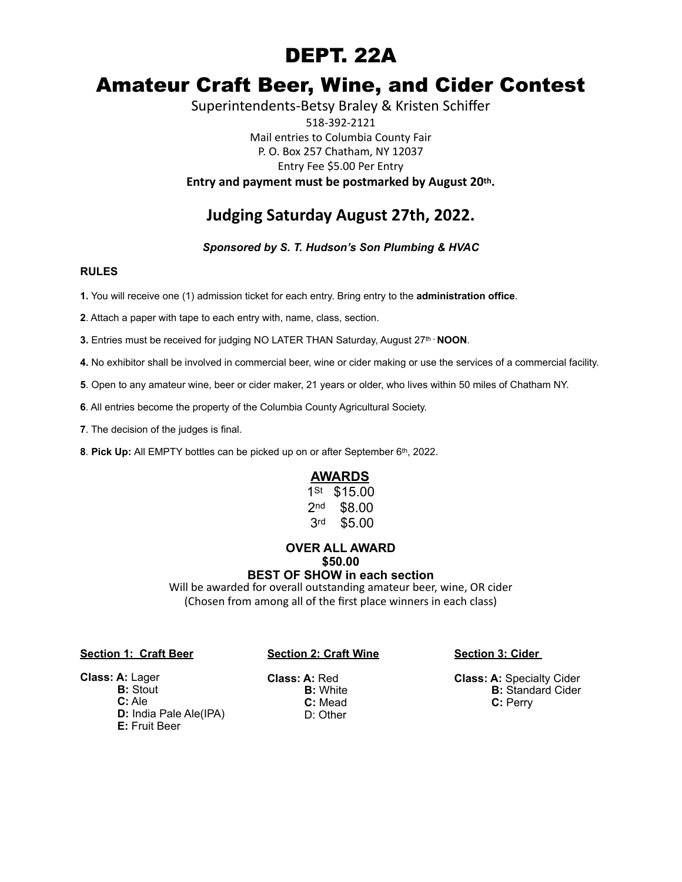## DEPT. 22A

# Amateur Craft Beer, Wine, and Cider Contest

Superintendents-Betsy Braley & Kristen Schiffer 518-392-2121 Mail entries to Columbia County Fair P. O. Box 257 Chatham, NY 12037 Entry Fee \$5.00 Per Entry **Entry and payment must be postmarked by August 20th.** 

## **Judging Saturday August 27th, 2022.**

*Sponsored by S. T. Hudson's Son Plumbing & HVAC*

#### **RULES**

**1.** You will receive one (1) admission ticket for each entry. Bring entry to the **administration office**.

**2**. Attach a paper with tape to each entry with, name, class, section.

**3.** Entries must be received for judging NO LATER THAN Saturday, August 27<sup>th</sup> - **NOON**.

**4.** No exhibitor shall be involved in commercial beer, wine or cider making or use the services of a commercial facility.

**5**. Open to any amateur wine, beer or cider maker, 21 years or older, who lives within 50 miles of Chatham NY.

**6**. All entries become the property of the Columbia County Agricultural Society.

**7**. The decision of the judges is final.

**8***.* **Pick Up:** All EMPTY bottles can be picked up on or after September 6th, 2022.

#### **AWARDS**

1<sup>St</sup> \$15.00 2nd \$8.00 3rd \$5.00

#### **OVER ALL AWARD \$50.00 BEST OF SHOW in each section**

Will be awarded for overall outstanding amateur beer, wine, OR cider (Chosen from among all of the first place winners in each class)

#### **Section 1: Craft Beer**

#### **Section 2: Craft Wine**

**Section 3: Cider** 

**Class: A:** Specialty Cider **B:** Standard Cider  **C:** Perry

### **Class: A:** Lager

 **B:** Stout **C:** Ale **D:** India Pale Ale(IPA) **E:** Fruit Beer

**Class: A:** Red **B:** White **C:** Mead D: Other